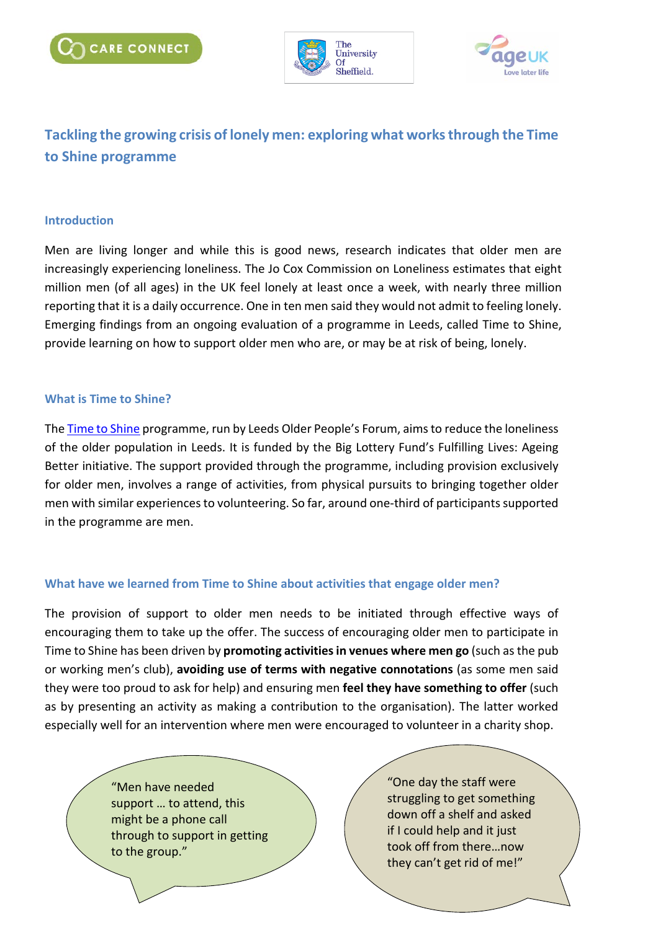



# **Tackling the growing crisis of lonely men: exploring what works through the Time to Shine programme**

### **Introduction**

Men are living longer and while this is good news, research indicates that older men are increasingly experiencing loneliness. The Jo Cox Commission on Loneliness estimates that eight million men (of all ages) in the UK feel lonely at least once a week, with nearly three million reporting that it is a daily occurrence. One in ten men said they would not admit to feeling lonely. Emerging findings from an ongoing evaluation of a programme in Leeds, called Time to Shine, provide learning on how to support older men who are, or may be at risk of being, lonely.

#### **What is Time to Shine?**

The [Time to Shine](https://timetoshineleeds.org/projects/sage) programme, run by Leeds Older People's Forum, aims to reduce the loneliness of the older population in Leeds. It is funded by the Big Lottery Fund's Fulfilling Lives: Ageing Better initiative. The support provided through the programme, including provision exclusively for older men, involves a range of activities, from physical pursuits to bringing together older men with similar experiences to volunteering. So far, around one-third of participants supported in the programme are men.

### **What have we learned from Time to Shine about activities that engage older men?**

The provision of support to older men needs to be initiated through effective ways of encouraging them to take up the offer. The success of encouraging older men to participate in Time to Shine has been driven by **promoting activitiesin venues where men go** (such as the pub or working men's club), **avoiding use of terms with negative connotations** (as some men said they were too proud to ask for help) and ensuring men **feel they have something to offer** (such as by presenting an activity as making a contribution to the organisation). The latter worked especially well for an intervention where men were encouraged to volunteer in a charity shop.

> "Men have needed support … to attend, this might be a phone call through to support in getting to the group."

"One day the staff were struggling to get something down off a shelf and asked if I could help and it just took off from there…now they can't get rid of me!"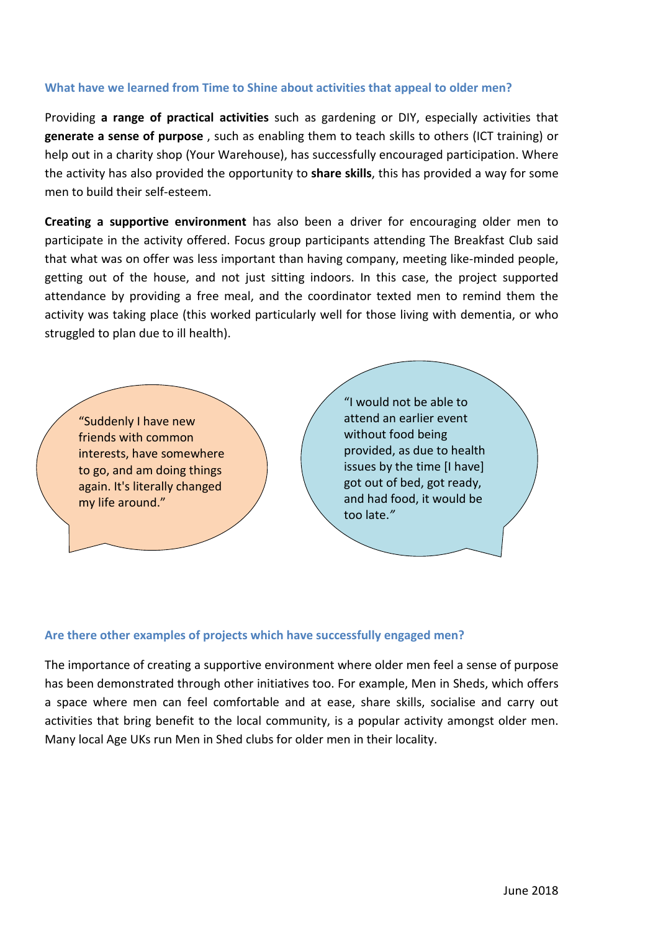### **What have we learned from Time to Shine about activities that appeal to older men?**

Providing **a range of practical activities** such as gardening or DIY, especially activities that **generate a sense of purpose** , such as enabling them to teach skills to others (ICT training) or help out in a charity shop (Your Warehouse), has successfully encouraged participation. Where the activity has also provided the opportunity to **share skills**, this has provided a way for some men to build their self-esteem.

**Creating a supportive environment** has also been a driver for encouraging older men to participate in the activity offered. Focus group participants attending The Breakfast Club said that what was on offer was less important than having company, meeting like-minded people, getting out of the house, and not just sitting indoors. In this case, the project supported attendance by providing a free meal, and the coordinator texted men to remind them the activity was taking place (this worked particularly well for those living with dementia, or who struggled to plan due to ill health).



### **Are there other examples of projects which have successfully engaged men?**

The importance of creating a supportive environment where older men feel a sense of purpose has been demonstrated through other initiatives too. For example, Men in Sheds, which offers a space where men can feel comfortable and at ease, share skills, socialise and carry out activities that bring benefit to the local community, is a popular activity amongst older men. Many local Age UKs run Men in Shed clubs for older men in their locality.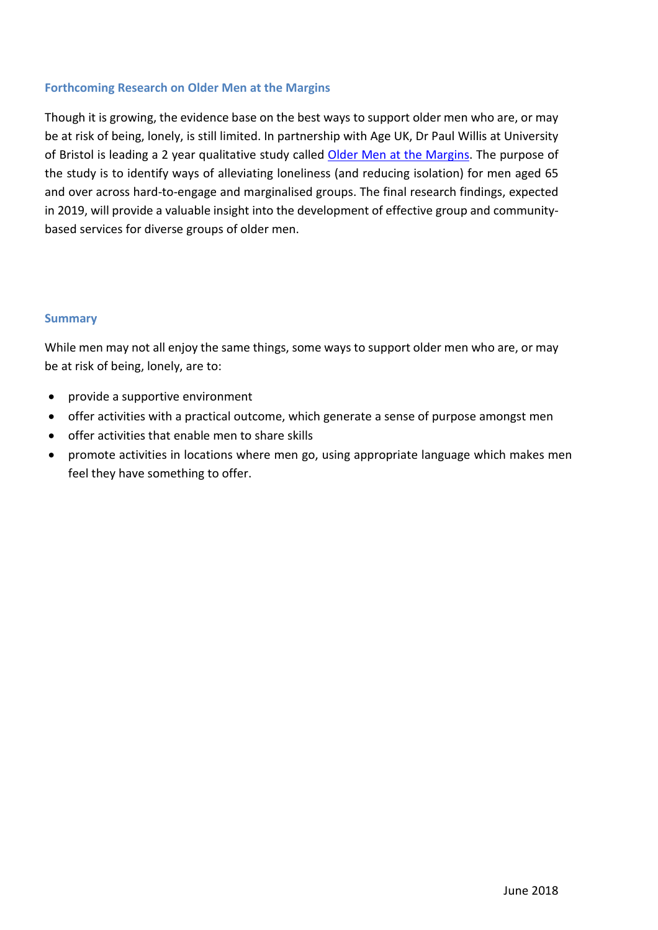## **Forthcoming Research on Older Men at the Margins**

Though it is growing, the evidence base on the best ways to support older men who are, or may be at risk of being, lonely, is still limited. In partnership with Age UK, Dr Paul Willis at University of Bristol is leading a 2 year qualitative study called [Older Men at the Margins.](http://www.bristol.ac.uk/sps/research/projects/current/older-men-at-the-margins/) The purpose of the study is to identify ways of alleviating loneliness (and reducing isolation) for men aged 65 and over across hard-to-engage and marginalised groups. The final research findings, expected in 2019, will provide a valuable insight into the development of effective group and communitybased services for diverse groups of older men.

### **Summary**

While men may not all enjoy the same things, some ways to support older men who are, or may be at risk of being, lonely, are to:

- provide a supportive environment
- offer activities with a practical outcome, which generate a sense of purpose amongst men
- offer activities that enable men to share skills
- promote activities in locations where men go, using appropriate language which makes men feel they have something to offer.